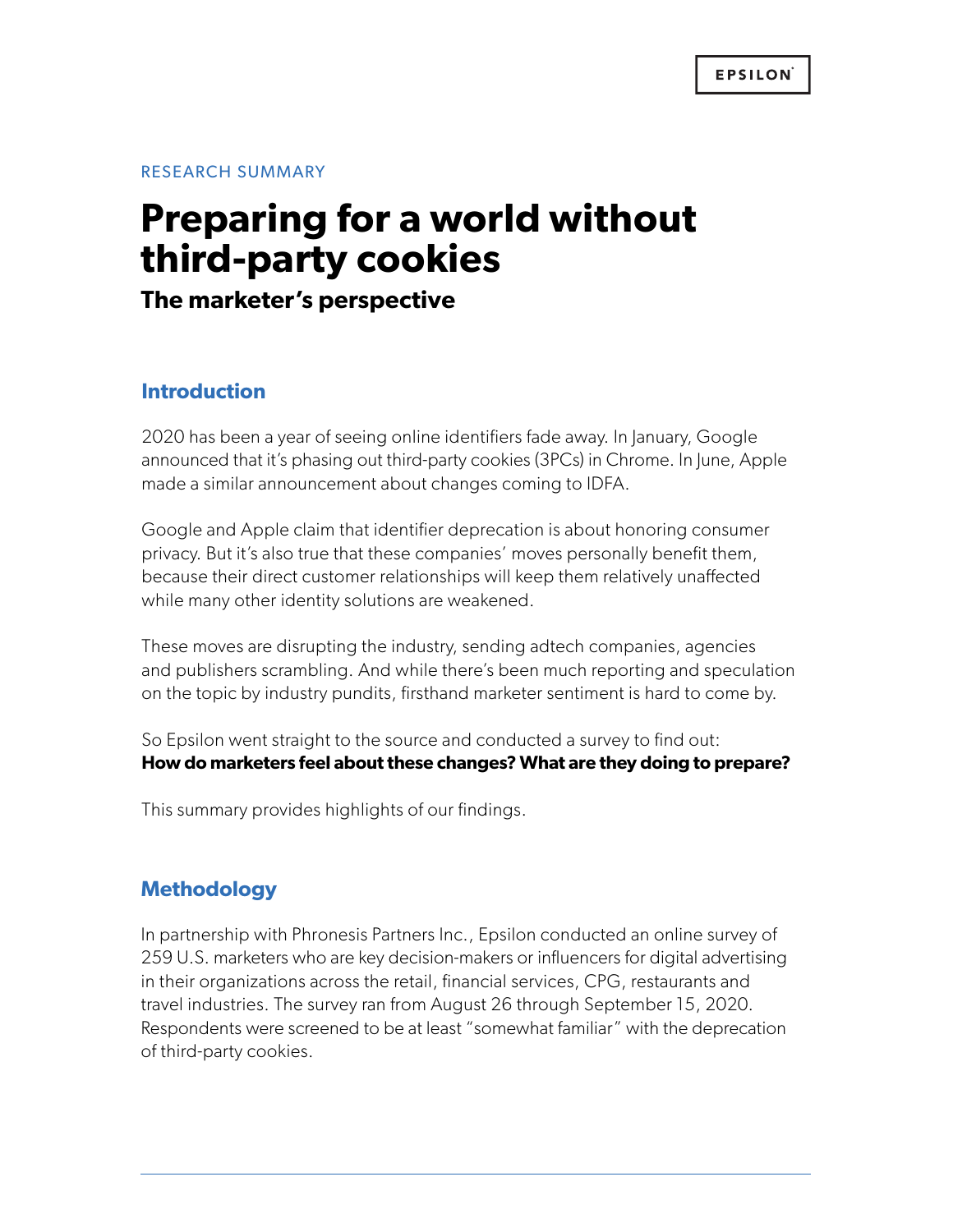RESEARCH SUMMARY

# **Preparing for a world without third-party cookies**

**The marketer's perspective**

# **Introduction**

2020 has been a year of seeing online identifiers fade away. In January, Google announced that it's phasing out third-party cookies (3PCs) in Chrome. In June, Apple made a similar announcement about changes coming to IDFA.

Google and Apple claim that identifier deprecation is about honoring consumer privacy. But it's also true that these companies' moves personally benefit them, because their direct customer relationships will keep them relatively unaffected while many other identity solutions are weakened.

These moves are disrupting the industry, sending adtech companies, agencies and publishers scrambling. And while there's been much reporting and speculation on the topic by industry pundits, firsthand marketer sentiment is hard to come by.

So Epsilon went straight to the source and conducted a survey to find out: **How do marketers feel about these changes? What are they doing to prepare?**

This summary provides highlights of our findings.

## **Methodology**

In partnership with Phronesis Partners Inc., Epsilon conducted an online survey of 259 U.S. marketers who are key decision-makers or influencers for digital advertising in their organizations across the retail, financial services, CPG, restaurants and travel industries. The survey ran from August 26 through September 15, 2020. Respondents were screened to be at least "somewhat familiar" with the deprecation of third-party cookies.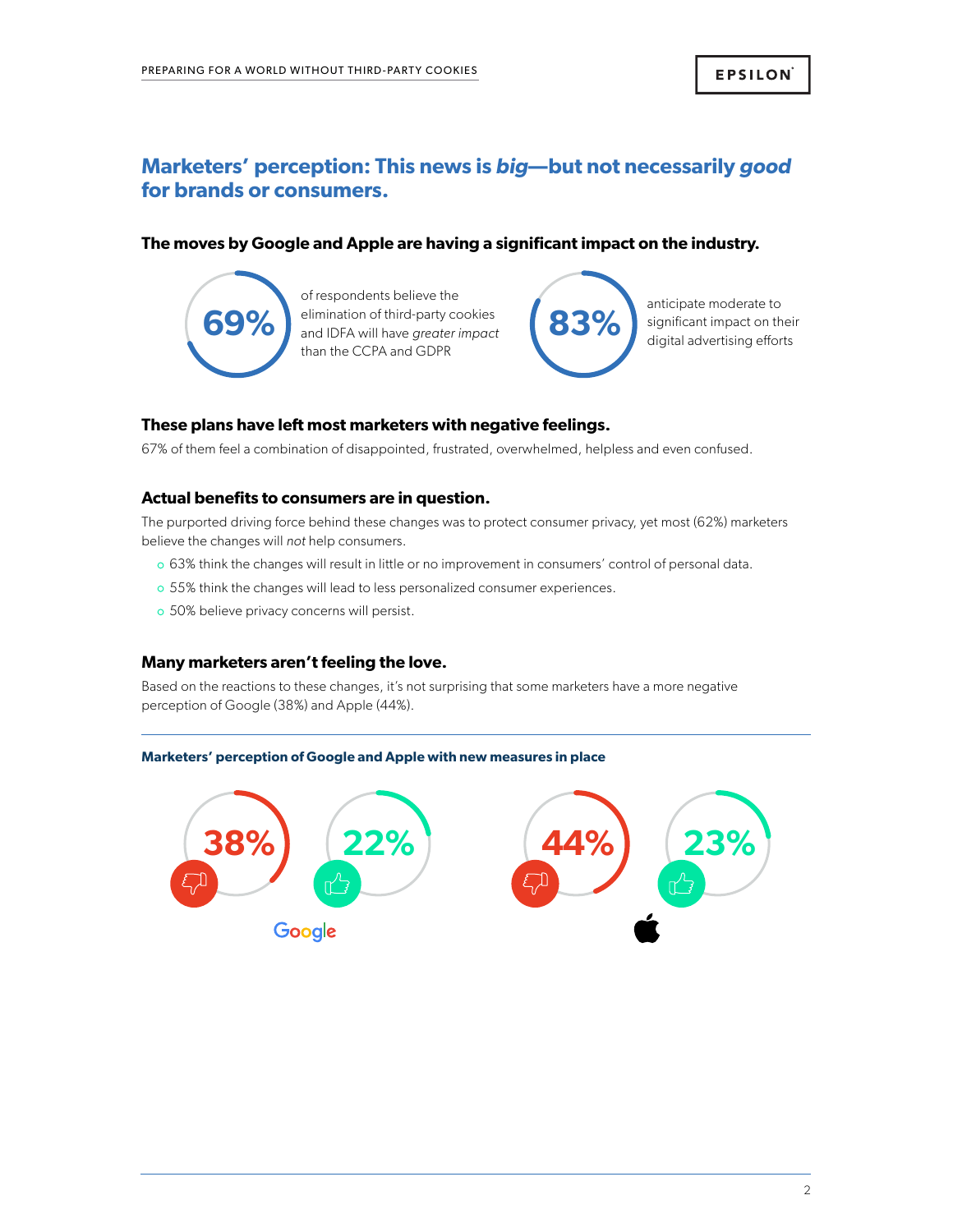# **Marketers' perception: This news is** *big***—but not necessarily** *good*  **for brands or consumers.**

## **The moves by Google and Apple are having a significant impact on the industry.**



of respondents believe the elimination of third-party cookies **69%** and IDFA will have *greater impact* **83%** and iDFA will have *greater impact* on their digital advertising efforts than the CCPA and GDPR



anticipate moderate to

### **These plans have left most marketers with negative feelings.**

67% of them feel a combination of disappointed, frustrated, overwhelmed, helpless and even confused.

### **Actual benefits to consumers are in question.**

The purported driving force behind these changes was to protect consumer privacy, yet most (62%) marketers believe the changes will *not* help consumers.

- 63% think the changes will result in little or no improvement in consumers' control of personal data.
- o 55% think the changes will lead to less personalized consumer experiences.
- o 50% believe privacy concerns will persist.

## **Many marketers aren't feeling the love.**

Based on the reactions to these changes, it's not surprising that some marketers have a more negative perception of Google (38%) and Apple (44%).

#### **Marketers' perception of Google and Apple with new measures in place**

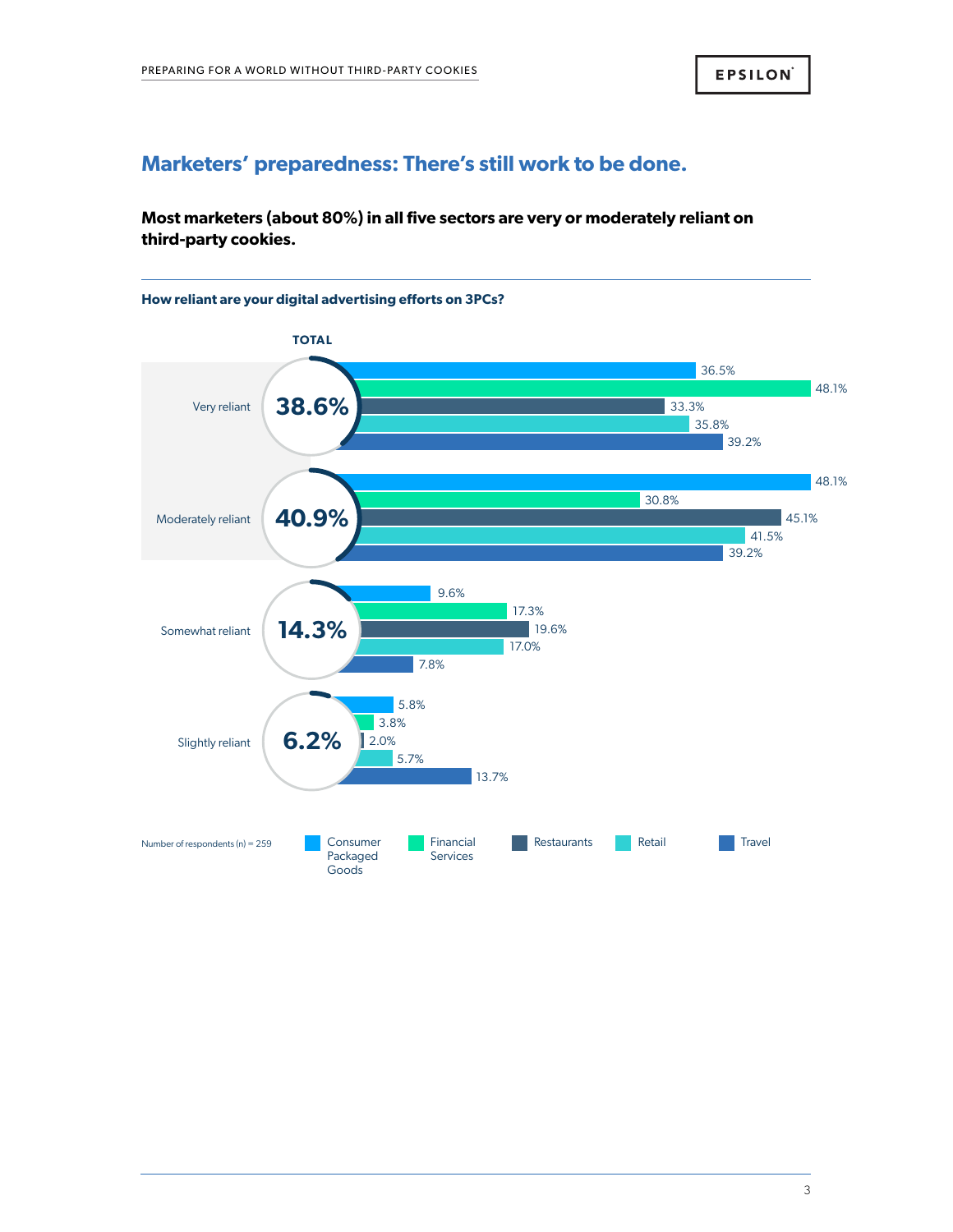## **Marketers' preparedness: There's still work to be done.**

## **Most marketers (about 80%) in all five sectors are very or moderately reliant on third-party cookies.**



3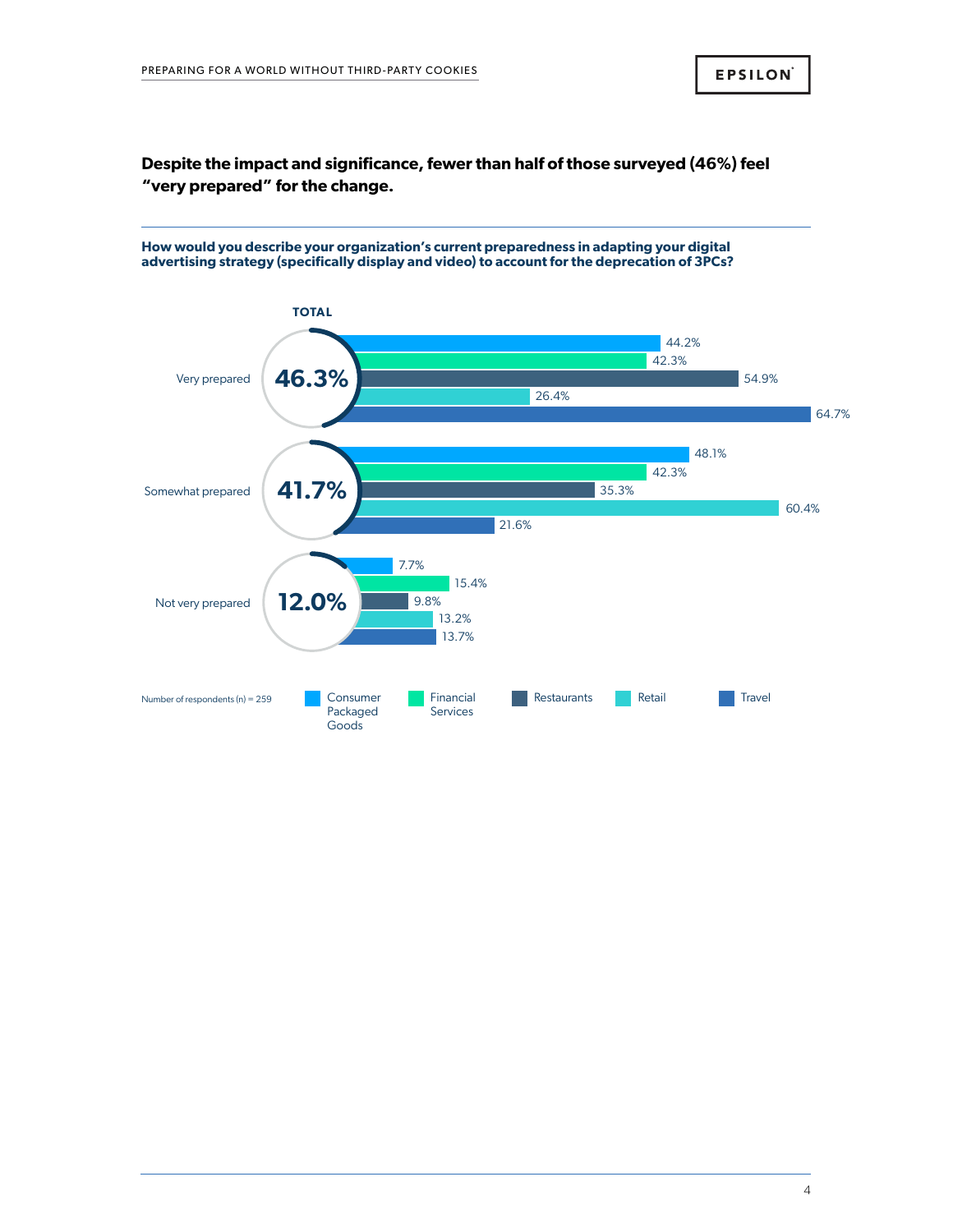## **Despite the impact and significance, fewer than half of those surveyed (46%) feel "very prepared" for the change.**

**How would you describe your organization's current preparedness in adapting your digital advertising strategy (specifically display and video) to account for the deprecation of 3PCs?** 

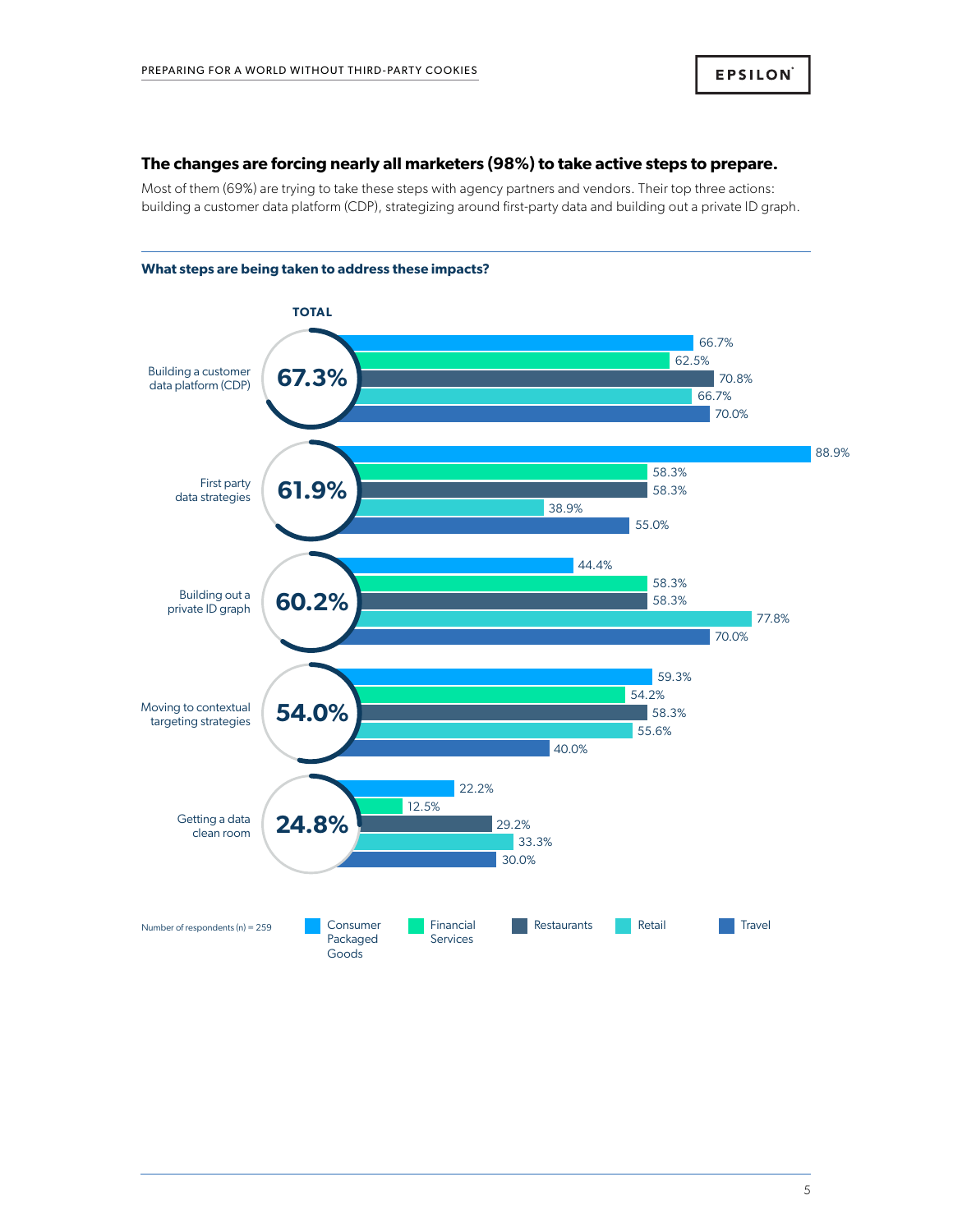#### **The changes are forcing nearly all marketers (98%) to take active steps to prepare.**

Most of them (69%) are trying to take these steps with agency partners and vendors. Their top three actions: building a customer data platform (CDP), strategizing around first-party data and building out a private ID graph.



## **What steps are being taken to address these impacts?**